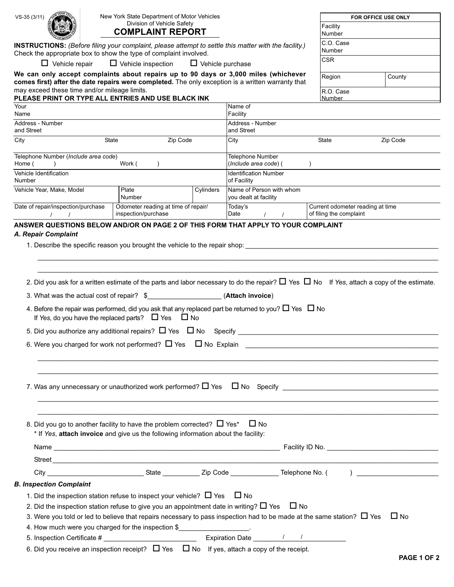| VS-35 (3/11)                                                                                                                                                               | New York State Department of Motor Vehicles                                                                                                                                                                                                                                                                                                     |                                     |                                                   |                                           |                                  |              |  |
|----------------------------------------------------------------------------------------------------------------------------------------------------------------------------|-------------------------------------------------------------------------------------------------------------------------------------------------------------------------------------------------------------------------------------------------------------------------------------------------------------------------------------------------|-------------------------------------|---------------------------------------------------|-------------------------------------------|----------------------------------|--------------|--|
|                                                                                                                                                                            | Division of Vehicle Safety                                                                                                                                                                                                                                                                                                                      |                                     |                                                   | FOR OFFICE USE ONLY<br>Facility           |                                  |              |  |
| <b>COMPLAINT REPORT</b>                                                                                                                                                    |                                                                                                                                                                                                                                                                                                                                                 |                                     | Number                                            |                                           |                                  |              |  |
| INSTRUCTIONS: (Before filing your complaint, please attempt to settle this matter with the facility.)<br>Check the appropriate box to show the type of complaint involved. |                                                                                                                                                                                                                                                                                                                                                 |                                     |                                                   |                                           | C.O. Case<br>Number              |              |  |
| $\Box$ Vehicle repair                                                                                                                                                      | $\Box$ Vehicle inspection                                                                                                                                                                                                                                                                                                                       |                                     | $\Box$ Vehicle purchase                           |                                           | <b>CSR</b>                       |              |  |
| We can only accept complaints about repairs up to 90 days or 3,000 miles (whichever                                                                                        |                                                                                                                                                                                                                                                                                                                                                 |                                     |                                                   |                                           | Region                           | County       |  |
| comes first) after the date repairs were completed. The only exception is a written warranty that<br>may exceed these time and/or mileage limits.                          |                                                                                                                                                                                                                                                                                                                                                 |                                     |                                                   |                                           | R.O. Case                        |              |  |
| PLEASE PRINT OR TYPE ALL ENTRIES AND USE BLACK INK                                                                                                                         |                                                                                                                                                                                                                                                                                                                                                 |                                     |                                                   |                                           | <b>Number</b>                    |              |  |
| Your<br>Name                                                                                                                                                               |                                                                                                                                                                                                                                                                                                                                                 |                                     | Name of<br>Facility                               |                                           |                                  |              |  |
| Address - Number                                                                                                                                                           |                                                                                                                                                                                                                                                                                                                                                 |                                     | Address - Number                                  |                                           |                                  |              |  |
| and Street                                                                                                                                                                 |                                                                                                                                                                                                                                                                                                                                                 |                                     | and Street                                        |                                           |                                  |              |  |
| City                                                                                                                                                                       | State                                                                                                                                                                                                                                                                                                                                           | Zip Code                            |                                                   | Zip Code<br>State<br>City                 |                                  |              |  |
| Telephone Number (Include area code)<br>Home (                                                                                                                             | Work (                                                                                                                                                                                                                                                                                                                                          |                                     |                                                   | Telephone Number<br>(Include area code) ( |                                  |              |  |
| Vehicle Identification<br>Number                                                                                                                                           |                                                                                                                                                                                                                                                                                                                                                 |                                     | <b>Identification Number</b><br>of Facility       |                                           |                                  |              |  |
| Vehicle Year, Make, Model                                                                                                                                                  | Plate<br>Number                                                                                                                                                                                                                                                                                                                                 | Cylinders                           | Name of Person with whom<br>you dealt at facility |                                           |                                  |              |  |
| Date of repair/inspection/purchase                                                                                                                                         |                                                                                                                                                                                                                                                                                                                                                 | Odometer reading at time of repair/ | Today's                                           |                                           | Current odometer reading at time |              |  |
|                                                                                                                                                                            | inspection/purchase                                                                                                                                                                                                                                                                                                                             |                                     | Date                                              |                                           | of filing the complaint          |              |  |
| 3. What was the actual cost of repair? \$                                                                                                                                  | 4. Before the repair was performed, did you ask that any replaced part be returned to you? $\Box$ Yes $\Box$ No<br>If Yes, do you have the replaced parts? $\Box$ Yes $\Box$ No<br>5. Did you authorize any additional repairs? $\Box$ Yes $\Box$ No Specify<br>6. Were you charged for work not performed? $\Box$ Yes $\Box$ No Explain $\Box$ |                                     | (Attach invoice)                                  |                                           |                                  |              |  |
|                                                                                                                                                                            | 8. Did you go to another facility to have the problem corrected? $\Box$ Yes* $\Box$ No<br>* If Yes, attach invoice and give us the following information about the facility:                                                                                                                                                                    |                                     |                                                   |                                           |                                  |              |  |
|                                                                                                                                                                            |                                                                                                                                                                                                                                                                                                                                                 |                                     |                                                   |                                           |                                  |              |  |
|                                                                                                                                                                            |                                                                                                                                                                                                                                                                                                                                                 |                                     |                                                   |                                           |                                  |              |  |
|                                                                                                                                                                            |                                                                                                                                                                                                                                                                                                                                                 |                                     |                                                   |                                           |                                  |              |  |
| <b>B. Inspection Complaint</b>                                                                                                                                             |                                                                                                                                                                                                                                                                                                                                                 |                                     |                                                   |                                           |                                  |              |  |
|                                                                                                                                                                            | 1. Did the inspection station refuse to inspect your vehicle? $\Box$ Yes $\Box$ No                                                                                                                                                                                                                                                              |                                     |                                                   |                                           |                                  |              |  |
|                                                                                                                                                                            | 2. Did the inspection station refuse to give you an appointment date in writing? $\Box$ Yes $\Box$ No<br>3. Were you told or led to believe that repairs necessary to pass inspection had to be made at the same station? $\Box$ Yes<br>4. How much were you charged for the inspection \$                                                      |                                     |                                                   |                                           |                                  | $\square$ No |  |
|                                                                                                                                                                            |                                                                                                                                                                                                                                                                                                                                                 |                                     |                                                   |                                           |                                  |              |  |
|                                                                                                                                                                            | 6. Did you receive an inspection receipt? $\Box$ Yes $\Box$ No If yes, attach a copy of the receipt.                                                                                                                                                                                                                                            |                                     |                                                   |                                           |                                  |              |  |